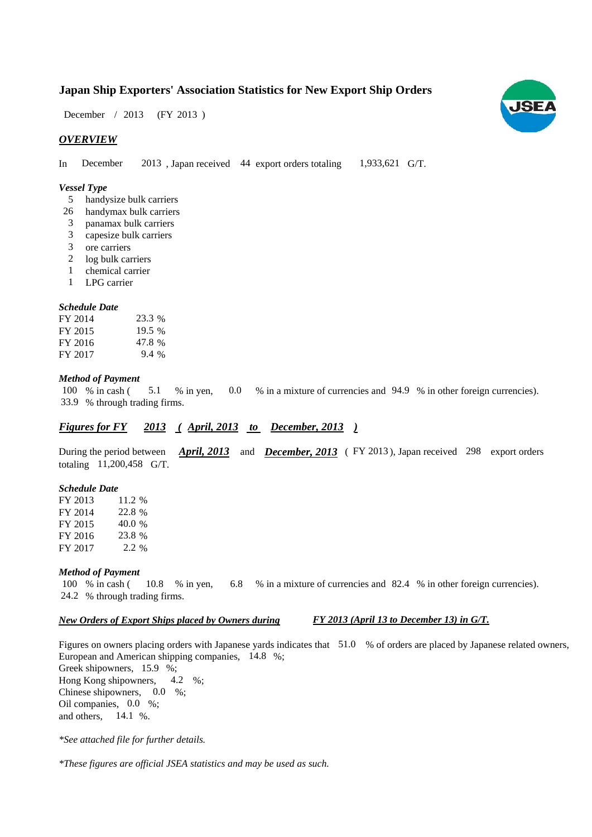## **Japan Ship Exporters' Association Statistics for New Export Ship Orders**

December / 2013 (FY 2013)

## *OVERVIEW*

In December 2013, Japan received 44 export orders totaling 1,933,621 G/T. 1,933,621 G/T. December

#### *Vessel Type*

- handysize bulk carriers 5
- handymax bulk carriers 26
- panamax bulk carriers 3
- capesize bulk carriers 3
- ore carriers 3
- 2 log bulk carriers
- chemical carrier 1
- LPG carrier 1

#### *Schedule Date*

| FY 2014 | 23.3 %  |
|---------|---------|
| FY 2015 | 19.5 %  |
| FY 2016 | 47.8%   |
| FY 2017 | $9.4\%$ |

#### *Method of Payment*

% in cash ( $\frac{5.1}{8}$  % in yen,  $\frac{0.0}{8}$  in a mixture of currencies and 94.9 % in other foreign currencies). % through trading firms. 33.9 5.1 100 % in cash (

## *Figures for FY* 2013 (*April, 2013 to December, 2013*)

During the period between *April, 2013* and *December, 2013* (FY 2013), Japan received 298 export orders totaling 11,200,458 G/T.

#### *Schedule Date*

FY 2013 FY 2014 FY 2015 FY 2016 FY 2017 2.2 % 11.2 % 22.8 % 40.0 23.8 %

#### *Method of Payment*

% in cash ( $10.8$  % in yen,  $6.8$  % in a mixture of currencies and 82.4 % in other foreign currencies). % through trading firms. 24.2 100 % in cash (10.8 % in yen,

### *New Orders of Export Ships placed by Owners during*

*FY 2013 (April 13 to December 13) in G/T.*

Figures on owners placing orders with Japanese yards indicates that 51.0 % of orders are placed by Japanese related owners, European and American shipping companies, 14.8 %;

Greek shipowners,  $15.9\%$ ; Hong Kong shipowners,  $4.2\%$ ; Chinese shipowners,  $0.0\%$ ; Oil companies, 0.0 %; and others,  $14.1\%$ . 4.2

*\*See attached file for further details.*

*\*These figures are official JSEA statistics and may be used as such.*

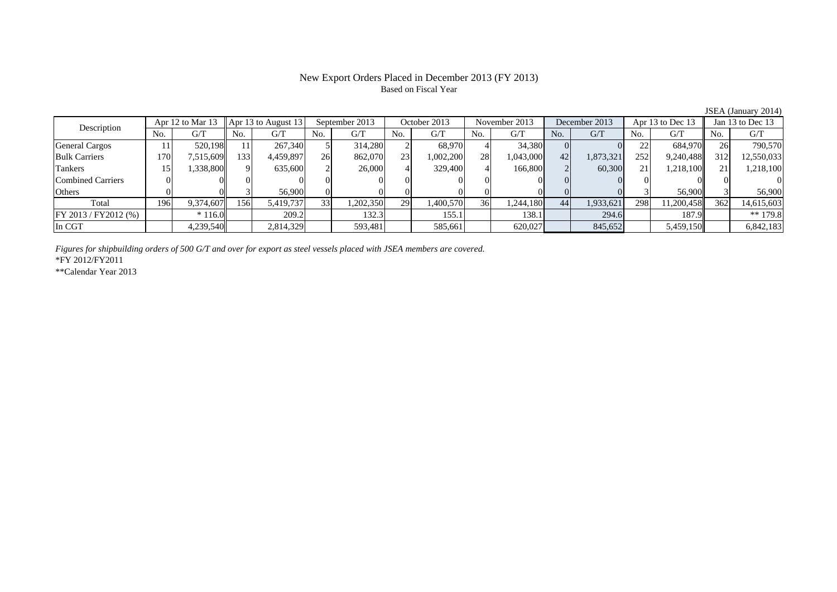## New Export Orders Placed in December 2013 (FY 2013) Based on Fiscal Year

No. G/T No. G/T No. G/T No. G/T No. G/T No. G/T No. G/T No. G/T $\mathrm{G}/\mathrm{T}$ General Cargos ( | 11 | 520,198 | 11 | 267,340 | 5 | 314,280 | 2 | 68,970 | 4 | 34,380 | 0 | 0 | 22 | 684,970 | 26 | 790,570 Bulk Carriers 170 7,515,609 133 4,459,897 26 862,070 23 1,002,200 28 1,043,000 42 1,873,321 252 9,240,488 312 12,550,033 Tankers | 15| 1,338,800|| 9| 635,600| 2| 26,000| 4| 329,400| 4| 166,800| 2| 60,300| 21| 1,218,100|| 21| 1,218,100 Combined Carriers 0 0 0 0 0 0 0 0 0 0 0 0 0 0 0 0Others 0 0 3 56,900 0 0 0 0 0 0 0 0 3 56,900 3 56,900 Total 196 9,374,607 156 5,419,737 33 1,202,350 29 1,400,570 36 1,244,180 44 1,933,621 298 11,200,458 362 14,615,603 FY 2013 / FY2012 (%)  $\begin{vmatrix} * & 116.0 \end{vmatrix}$  209.2 132.3 155.1 135.1 138.1 294.6 187.9 187.9 In CGT 4,239,540 2,814,329 593,481 585,661 620,027 845,652 5,459,150 6,842,183 Description Apr 12 to Mar 13 Apr 13 to August 13 September 2013 October 2013<br>No. 6/T No. 6/T No. 6/T No. 6/T November 2013 December 2013 Apr 13 to Dec 13 Jan 13 to Dec 13

*Figures for shipbuilding orders of 500 G/T and over for export as steel vessels placed with JSEA members are covered.*

\*FY 2012/FY2011

\*\*Calendar Year 2013

JSEA (January 2014)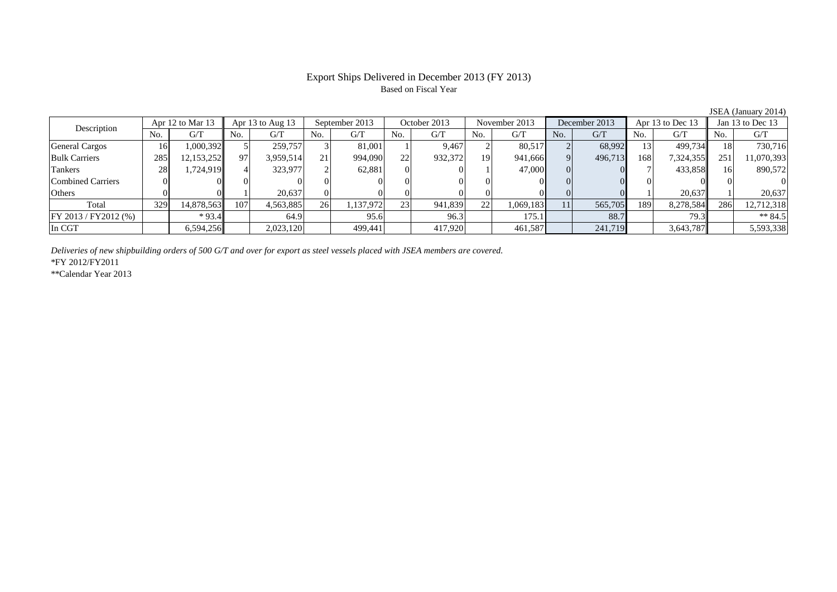## Export Ships Delivered in December 2013 (FY 2013) Based on Fiscal Year

|                          |     | Apr 12 to Mar 13 |     | Apr 13 to Aug $13$ |     | September 2013 |          | October 2013 |                | November 2013 |     | December 2013 |     | Apr 13 to Dec 13 |     | Jan 13 to Dec 13 |  |
|--------------------------|-----|------------------|-----|--------------------|-----|----------------|----------|--------------|----------------|---------------|-----|---------------|-----|------------------|-----|------------------|--|
| Description              | No. | G/T              | No. | G/T                | No. | G/T            | No.      | G/T          | N <sub>0</sub> | G/T           | No. | G/T           | No. | G/T              | No. | G/T              |  |
| <b>General Cargos</b>    | 16  | 0.000,392        |     | 259,757            |     | 81,001         |          | 9.467        |                | 80.517        |     | 68.992        |     | 499,734          |     | 730,716          |  |
| <b>Bulk Carriers</b>     | 285 | 12,153,252       | 97  | 3,959,514          | 21  | 994,090        | 22       | 932,372      | 19             | 941,666       |     | 496,713       | 168 | 7,324,355        | 251 | 11,070,393       |  |
| <b>Tankers</b>           | 28  | 1,724,919        |     | 323,977            |     | 62,881         | $\Omega$ |              |                | 47,000        |     |               |     | 433,858          | 16  | 890,572          |  |
| <b>Combined Carriers</b> |     |                  |     |                    |     |                |          |              |                |               |     |               |     |                  |     |                  |  |
| Others                   |     |                  |     | 20.637             |     |                |          |              |                |               |     |               |     | 20.637           |     | 20.637           |  |
| Total                    | 329 | 14,878,563       | 107 | 4,563,885          | 26  | 1,137,972      | 23       | 941,839      | 22             | 1,069,183     | 11  | 565,705       | 189 | 8,278,584        | 286 | 12,712,318       |  |
| $FY 2013 / FY 2012$ (%)  |     | $*93.4$          |     | 64.9               |     | 95.6           |          | 96.3         |                | 175.1         |     | 88.7          |     | 79.3             |     | $** 84.5$        |  |
| In CGT                   |     | 6,594,256        |     | 2,023,120          |     | 499.441        |          | 417.920      |                | 461,587       |     | 241,719       |     | 3,643,787        |     | 5,593,338        |  |

*Deliveries of new shipbuilding orders of 500 G/T and over for export as steel vessels placed with JSEA members are covered.*

\*FY 2012/FY2011

\*\*Calendar Year 2013

JSEA (January 2014)